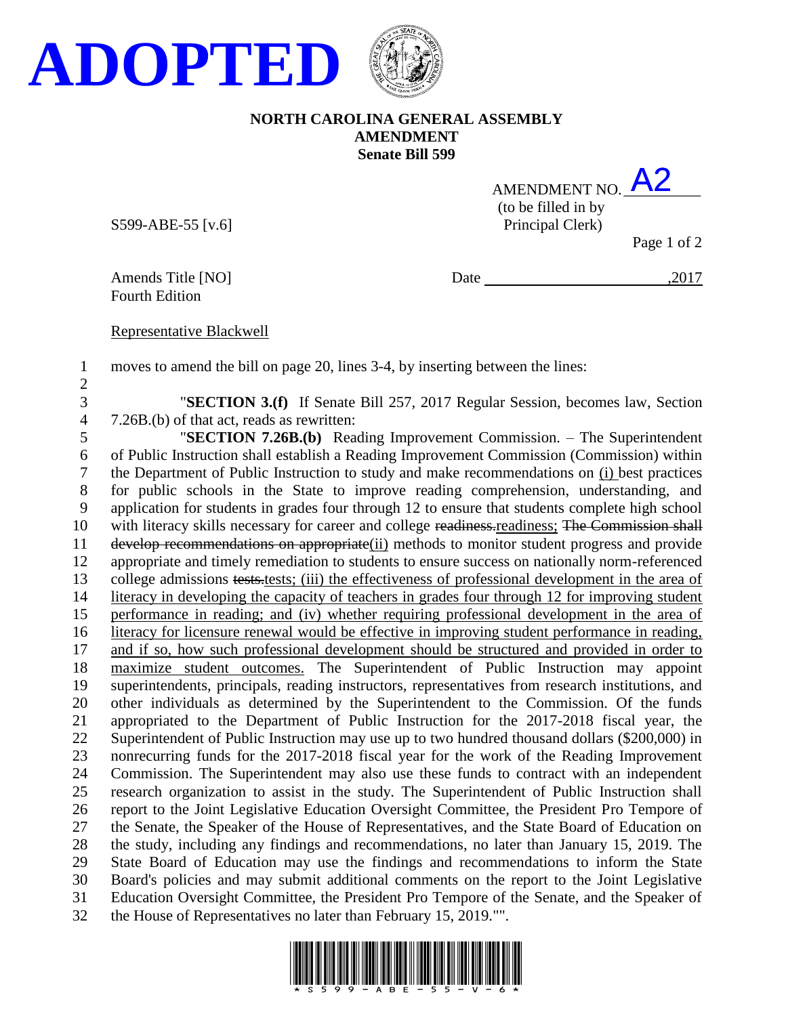

## **NORTH CAROLINA GENERAL ASSEMBLY AMENDMENT Senate Bill 599**

| AMENDMENT NO.       |  |
|---------------------|--|
| (to be filled in by |  |
| Principal Clerk)    |  |

S599-ABE-55 [v.6]

Page 1 of 2

Fourth Edition

Amends Title [NO] Date ,2017

Representative Blackwell

moves to amend the bill on page 20, lines 3-4, by inserting between the lines:

 "**SECTION 3.(f)** If Senate Bill 257, 2017 Regular Session, becomes law, Section 7.26B.(b) of that act, reads as rewritten:

 "**SECTION 7.26B.(b)** Reading Improvement Commission. – The Superintendent of Public Instruction shall establish a Reading Improvement Commission (Commission) within the Department of Public Instruction to study and make recommendations on (i) best practices for public schools in the State to improve reading comprehension, understanding, and application for students in grades four through 12 to ensure that students complete high school 10 with literacy skills necessary for career and college readiness, readiness; The Commission shall develop recommendations on appropriate(ii) methods to monitor student progress and provide appropriate and timely remediation to students to ensure success on nationally norm-referenced college admissions tests.tests; (iii) the effectiveness of professional development in the area of literacy in developing the capacity of teachers in grades four through 12 for improving student performance in reading; and (iv) whether requiring professional development in the area of literacy for licensure renewal would be effective in improving student performance in reading, and if so, how such professional development should be structured and provided in order to maximize student outcomes. The Superintendent of Public Instruction may appoint superintendents, principals, reading instructors, representatives from research institutions, and other individuals as determined by the Superintendent to the Commission. Of the funds appropriated to the Department of Public Instruction for the 2017-2018 fiscal year, the Superintendent of Public Instruction may use up to two hundred thousand dollars (\$200,000) in nonrecurring funds for the 2017-2018 fiscal year for the work of the Reading Improvement Commission. The Superintendent may also use these funds to contract with an independent research organization to assist in the study. The Superintendent of Public Instruction shall report to the Joint Legislative Education Oversight Committee, the President Pro Tempore of the Senate, the Speaker of the House of Representatives, and the State Board of Education on the study, including any findings and recommendations, no later than January 15, 2019. The State Board of Education may use the findings and recommendations to inform the State Board's policies and may submit additional comments on the report to the Joint Legislative Education Oversight Committee, the President Pro Tempore of the Senate, and the Speaker of the House of Representatives no later than February 15, 2019."".